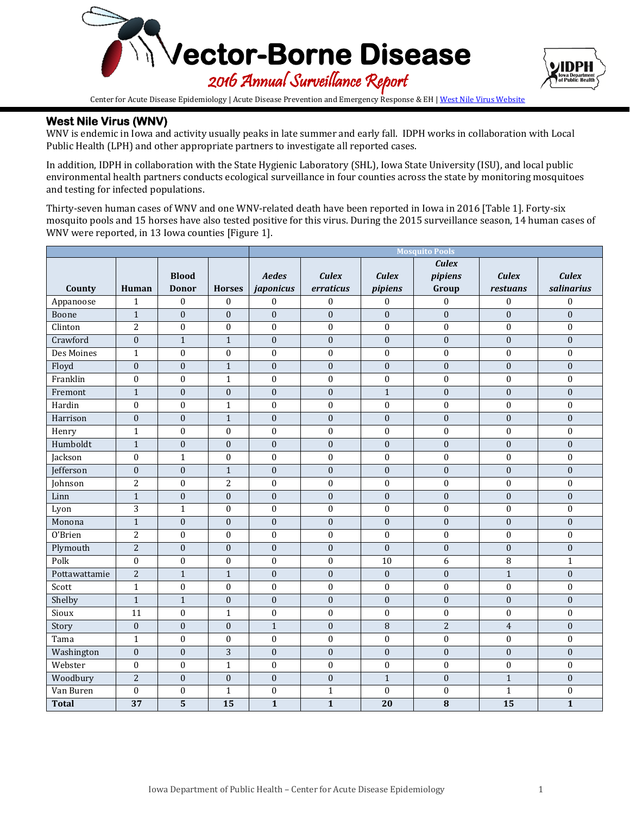



Center for Acute Disease Epidemiology | Acute Disease Prevention and Emergency Response & EH [| West Nile Virus Website](http://idph.iowa.gov/cade/disease-information/west-nile-virus)

# **West Nile Virus (WNV)**

WNV is endemic in Iowa and activity usually peaks in late summer and early fall. IDPH works in collaboration with Local Public Health (LPH) and other appropriate partners to investigate all reported cases.

In addition, IDPH in collaboration with the State Hygienic Laboratory (SHL), Iowa State University (ISU), and local public environmental health partners conducts ecological surveillance in four counties across the state by monitoring mosquitoes and testing for infected populations.

Thirty-seven human cases of WNV and one WNV-related death have been reported in Iowa in 2016 [Table 1]. Forty-six mosquito pools and 15 horses have also tested positive for this virus. During the 2015 surveillance season, 14 human cases of WNV were reported, in 13 Iowa counties [Figure 1].

|               |                  |                  |                  | <b>Mosquito Pools</b>   |                  |                  |                         |                  |                         |
|---------------|------------------|------------------|------------------|-------------------------|------------------|------------------|-------------------------|------------------|-------------------------|
|               |                  |                  |                  |                         |                  |                  | <b>Culex</b>            |                  |                         |
|               |                  | <b>Blood</b>     |                  | Aedes                   | <b>Culex</b>     | <b>Culex</b>     | pipiens                 | <b>Culex</b>     | <b>Culex</b>            |
| County        | Human            | <b>Donor</b>     | <b>Horses</b>    | japonicus               | erraticus        | pipiens          | Group                   | restuans         | salinarius              |
| Appanoose     | $\mathbf{1}$     | $\boldsymbol{0}$ | $\boldsymbol{0}$ | $\boldsymbol{0}$        | $\boldsymbol{0}$ | $\theta$         | $\boldsymbol{0}$        | $\boldsymbol{0}$ | $\boldsymbol{0}$        |
| Boone         | $\mathbf 1$      | $\boldsymbol{0}$ | $\mathbf{0}$     | $\mathbf{0}$            | $\boldsymbol{0}$ | $\boldsymbol{0}$ | $\mathbf{0}$            | $\mathbf{0}$     | $\boldsymbol{0}$        |
| Clinton       | $\overline{c}$   | $\boldsymbol{0}$ | $\boldsymbol{0}$ | 0                       | $\boldsymbol{0}$ | $\mathbf{0}$     | $\boldsymbol{0}$        | $\boldsymbol{0}$ | $\bf{0}$                |
| Crawford      | $\mathbf{0}$     | $\overline{1}$   | $\mathbf{1}$     | $\mathbf{0}$            | $\boldsymbol{0}$ | $\boldsymbol{0}$ | $\mathbf{0}$            | $\boldsymbol{0}$ | $\boldsymbol{0}$        |
| Des Moines    | $\mathbf{1}$     | $\mathbf{0}$     | $\mathbf{0}$     | $\boldsymbol{0}$        | $\boldsymbol{0}$ | $\boldsymbol{0}$ | $\boldsymbol{0}$        | $\mathbf 0$      | $\mathbf 0$             |
| Floyd         | $\boldsymbol{0}$ | $\boldsymbol{0}$ | $\mathbf 1$      | $\boldsymbol{0}$        | $\boldsymbol{0}$ | $\boldsymbol{0}$ | $\boldsymbol{0}$        | $\boldsymbol{0}$ | $\boldsymbol{0}$        |
| Franklin      | $\mathbf{0}$     | $\boldsymbol{0}$ | $\mathbf{1}$     | $\mathbf{0}$            | $\mathbf{0}$     | $\mathbf{0}$     | $\mathbf{0}$            | $\mathbf{0}$     | $\boldsymbol{0}$        |
| Fremont       | $\mathbf{1}$     | $\boldsymbol{0}$ | $\boldsymbol{0}$ | $\boldsymbol{0}$        | $\boldsymbol{0}$ | $\mathbf{1}$     | $\mathbf{0}$            | $\boldsymbol{0}$ | $\boldsymbol{0}$        |
| Hardin        | $\boldsymbol{0}$ | $\mathbf{0}$     | $\mathbf 1$      | $\boldsymbol{0}$        | $\boldsymbol{0}$ | $\boldsymbol{0}$ | $\boldsymbol{0}$        | $\boldsymbol{0}$ | $\boldsymbol{0}$        |
| Harrison      | $\boldsymbol{0}$ | $\boldsymbol{0}$ | $\mathbf 1$      | $\boldsymbol{0}$        | $\boldsymbol{0}$ | $\boldsymbol{0}$ | $\boldsymbol{0}$        | $\boldsymbol{0}$ | $\boldsymbol{0}$        |
| Henry         | $\mathbf{1}$     | $\boldsymbol{0}$ | $\boldsymbol{0}$ | 0                       | $\boldsymbol{0}$ | $\boldsymbol{0}$ | $\boldsymbol{0}$        | $\boldsymbol{0}$ | $\boldsymbol{0}$        |
| Humboldt      | $\mathbf{1}$     | $\boldsymbol{0}$ | $\boldsymbol{0}$ | $\mathbf{0}$            | $\boldsymbol{0}$ | $\boldsymbol{0}$ | $\mathbf{0}$            | $\boldsymbol{0}$ | $\boldsymbol{0}$        |
| Jackson       | $\boldsymbol{0}$ | $\mathbf{1}$     | $\mathbf{0}$     | $\mathbf{0}$            | $\mathbf{0}$     | $\boldsymbol{0}$ | $\boldsymbol{0}$        | $\mathbf{0}$     | $\boldsymbol{0}$        |
| Jefferson     | $\boldsymbol{0}$ | $\boldsymbol{0}$ | $\mathbf{1}$     | $\mathbf{0}$            | $\boldsymbol{0}$ | $\mathbf{0}$     | $\mathbf{0}$            | $\mathbf{0}$     | $\boldsymbol{0}$        |
| Johnson       | $\overline{c}$   | $\boldsymbol{0}$ | $\overline{2}$   | $\boldsymbol{0}$        | $\boldsymbol{0}$ | $\boldsymbol{0}$ | $\boldsymbol{0}$        | $\boldsymbol{0}$ | $\boldsymbol{0}$        |
| Linn          | $\mathbf{1}$     | $\boldsymbol{0}$ | $\boldsymbol{0}$ | $\boldsymbol{0}$        | $\boldsymbol{0}$ | $\boldsymbol{0}$ | $\boldsymbol{0}$        | $\boldsymbol{0}$ | $\overline{0}$          |
| Lyon          | $\overline{3}$   | $\mathbf{1}$     | $\boldsymbol{0}$ | $\boldsymbol{0}$        | $\boldsymbol{0}$ | $\boldsymbol{0}$ | $\boldsymbol{0}$        | $\boldsymbol{0}$ | $\boldsymbol{0}$        |
| Monona        | $\mathbf{1}$     | $\boldsymbol{0}$ | $\boldsymbol{0}$ | $\mathbf{0}$            | $\mathbf 0$      | $\boldsymbol{0}$ | $\mathbf{0}$            | $\mathbf{0}$     | $\overline{0}$          |
| 0'Brien       | $\overline{2}$   | $\boldsymbol{0}$ | $\boldsymbol{0}$ | $\boldsymbol{0}$        | $\boldsymbol{0}$ | $\boldsymbol{0}$ | $\boldsymbol{0}$        | $\boldsymbol{0}$ | $\boldsymbol{0}$        |
| Plymouth      | $\overline{2}$   | $\boldsymbol{0}$ | $\boldsymbol{0}$ | $\boldsymbol{0}$        | $\boldsymbol{0}$ | $\boldsymbol{0}$ | $\boldsymbol{0}$        | $\boldsymbol{0}$ | $\boldsymbol{0}$        |
| Polk          | $\boldsymbol{0}$ | $\boldsymbol{0}$ | $\boldsymbol{0}$ | $\boldsymbol{0}$        | $\boldsymbol{0}$ | 10               | 6                       | $\, 8$           | $\mathbf{1}$            |
| Pottawattamie | $\overline{2}$   | $\mathbf{1}$     | $1\,$            | $\mathbf{0}$            | $\boldsymbol{0}$ | $\boldsymbol{0}$ | $\mathbf{0}$            | $\mathbf{1}$     | $\boldsymbol{0}$        |
| Scott         | $\mathbf{1}$     | $\boldsymbol{0}$ | $\boldsymbol{0}$ | $\boldsymbol{0}$        | $\boldsymbol{0}$ | $\boldsymbol{0}$ | $\boldsymbol{0}$        | $\boldsymbol{0}$ | $\boldsymbol{0}$        |
| Shelby        | $\mathbf 1$      | $\mathbf{1}$     | $\boldsymbol{0}$ | $\boldsymbol{0}$        | $\boldsymbol{0}$ | $\mathbf{0}$     | $\mathbf{0}$            | $\boldsymbol{0}$ | $\boldsymbol{0}$        |
| Sioux         | 11               | $\boldsymbol{0}$ | $\mathbf{1}$     | $\boldsymbol{0}$        | $\boldsymbol{0}$ | $\boldsymbol{0}$ | $\boldsymbol{0}$        | $\boldsymbol{0}$ | $\boldsymbol{0}$        |
| Story         | $\mathbf{0}$     | $\boldsymbol{0}$ | $\mathbf{0}$     | $\mathbf{1}$            | $\boldsymbol{0}$ | $\overline{8}$   | $\overline{2}$          | $\overline{4}$   | $\boldsymbol{0}$        |
| Tama          | $\mathbf{1}$     | $\mathbf{0}$     | $\boldsymbol{0}$ | $\boldsymbol{0}$        | $\boldsymbol{0}$ | $\boldsymbol{0}$ | $\boldsymbol{0}$        | $\mathbf 0$      | $\boldsymbol{0}$        |
| Washington    | $\boldsymbol{0}$ | $\boldsymbol{0}$ | 3                | $\boldsymbol{0}$        | $\boldsymbol{0}$ | $\boldsymbol{0}$ | $\boldsymbol{0}$        | $\boldsymbol{0}$ | $\boldsymbol{0}$        |
| Webster       | $\mathbf{0}$     | $\boldsymbol{0}$ | $\mathbf{1}$     | $\boldsymbol{0}$        | $\mathbf{0}$     | $\mathbf{0}$     | $\mathbf{0}$            | $\overline{0}$   | $\overline{0}$          |
| Woodbury      | $\overline{2}$   | $\boldsymbol{0}$ | $\boldsymbol{0}$ | $\boldsymbol{0}$        | $\boldsymbol{0}$ | $\mathbf{1}$     | $\boldsymbol{0}$        | $1\,$            | $\boldsymbol{0}$        |
| Van Buren     | $\boldsymbol{0}$ | $\boldsymbol{0}$ | $\mathbf{1}$     | $\boldsymbol{0}$        | $\mathbf{1}$     | $\boldsymbol{0}$ | $\mathbf{0}$            | $\mathbf{1}$     | $\boldsymbol{0}$        |
| <b>Total</b>  | $\overline{37}$  | $\overline{5}$   | $\overline{15}$  | $\overline{\mathbf{1}}$ | $\mathbf{1}$     | $\overline{20}$  | $\overline{\mathbf{8}}$ | $\overline{15}$  | $\overline{\mathbf{1}}$ |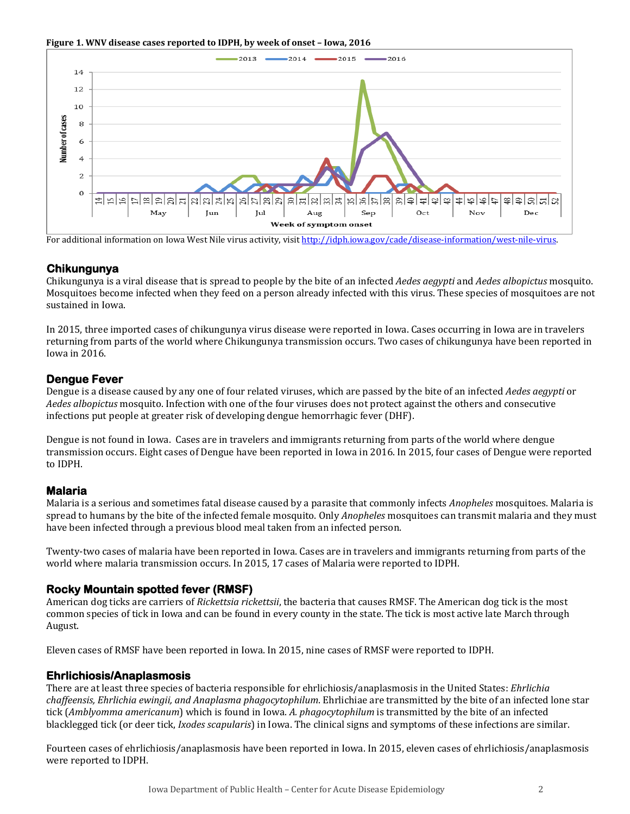**Figure 1. WNV disease cases reported to IDPH, by week of onset – Iowa, 2016**



For additional information on Iowa West Nile virus activity, visit http://idph.jowa.gov/cade/disease-information/west-nile-virus.

### **Chikungunya**

Chikungunya is a viral disease that is spread to people by the bite of an infected *Aedes aegypti* and *Aedes albopictus* mosquito. Mosquitoes become infected when they feed on a person already infected with this virus. These species of mosquitoes are not sustained in Iowa.

In 2015, three imported cases of chikungunya virus disease were reported in Iowa. Cases occurring in Iowa are in travelers returning from parts of the world where Chikungunya transmission occurs. Two cases of chikungunya have been reported in Iowa in 2016.

### **Dengue Fever**

Dengue is a disease caused by any one of four related viruses, which are passed by the bite of an infected *Aedes aegypti* or *Aedes albopictus* mosquito. Infection with one of the four viruses does not protect against the others and consecutive infections put people at greater risk of developing dengue hemorrhagic fever (DHF).

Dengue is not found in Iowa. Cases are in travelers and immigrants returning from parts of the world where dengue transmission occurs. Eight cases of Dengue have been reported in Iowa in 2016. In 2015, four cases of Dengue were reported to IDPH.

# **Malaria**

Malaria is a serious and sometimes fatal disease caused by a parasite that commonly infects *Anopheles* mosquitoes. Malaria is spread to humans by the bite of the infected female mosquito. Only *Anopheles* mosquitoes can transmit malaria and they must have been infected through a previous blood meal taken from an infected person.

Twenty-two cases of malaria have been reported in Iowa. Cases are in travelers and immigrants returning from parts of the world where malaria transmission occurs. In 2015, 17 cases of Malaria were reported to IDPH.

# **Rocky Mountain spotted fever (RMSF)**

American dog ticks are carriers of *Rickettsia rickettsii*, the bacteria that causes RMSF. The American dog tick is the most common species of tick in Iowa and can be found in every county in the state. The tick is most active late March through August.

Eleven cases of RMSF have been reported in Iowa. In 2015, nine cases of RMSF were reported to IDPH.

#### **Ehrlichiosis/Anaplasmosis**

There are at least three species of bacteria responsible for ehrlichiosis/anaplasmosis in the United States: *Ehrlichia chaffeensis, Ehrlichia ewingii, and Anaplasma phagocytophilum*. Ehrlichiae are transmitted by the bite of an infected lone star tick (*Amblyomma americanum*) which is found in Iowa. *A. phagocytophilum* is transmitted by the bite of an infected blacklegged tick (or deer tick, *Ixodes scapularis*) in Iowa. The clinical signs and symptoms of these infections are similar.

Fourteen cases of ehrlichiosis/anaplasmosis have been reported in Iowa. In 2015, eleven cases of ehrlichiosis/anaplasmosis were reported to IDPH.